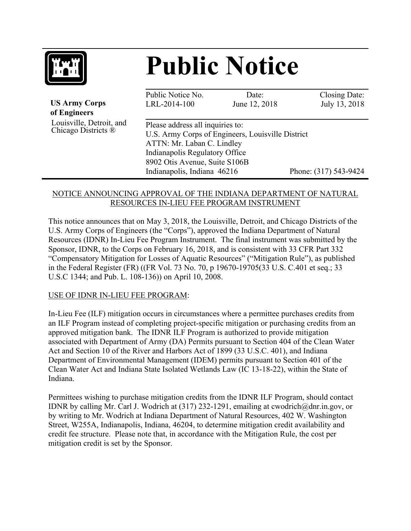

# **Public Notice**

| <b>US Army Corps</b><br>of Engineers            | Public Notice No.<br>LRL-2014-100                                                                                                                                                                                     | Date:<br>June 12, 2018 | Closing Date:<br>July 13, 2018 |
|-------------------------------------------------|-----------------------------------------------------------------------------------------------------------------------------------------------------------------------------------------------------------------------|------------------------|--------------------------------|
| Louisville, Detroit, and<br>Chicago Districts ® | Please address all inquiries to:<br>U.S. Army Corps of Engineers, Louisville District<br>ATTN: Mr. Laban C. Lindley<br>Indianapolis Regulatory Office<br>8902 Otis Avenue, Suite S106B<br>Indianapolis, Indiana 46216 |                        | Phone: (317) 543-9424          |
|                                                 |                                                                                                                                                                                                                       |                        |                                |

#### NOTICE ANNOUNCING APPROVAL OF THE INDIANA DEPARTMENT OF NATURAL RESOURCES IN-LIEU FEE PROGRAM INSTRUMENT

This notice announces that on May 3, 2018, the Louisville, Detroit, and Chicago Districts of the U.S. Army Corps of Engineers (the "Corps"), approved the Indiana Department of Natural Resources (IDNR) In-Lieu Fee Program Instrument. The final instrument was submitted by the Sponsor, IDNR, to the Corps on February 16, 2018, and is consistent with 33 CFR Part 332 "Compensatory Mitigation for Losses of Aquatic Resources" ("Mitigation Rule"), as published in the Federal Register (FR) ((FR Vol. 73 No. 70, p 19670-19705(33 U.S. C.401 et seq.; 33 U.S.C 1344; and Pub. L. 108-136)) on April 10, 2008.

#### USE OF IDNR IN-LIEU FEE PROGRAM:

In-Lieu Fee (ILF) mitigation occurs in circumstances where a permittee purchases credits from an ILF Program instead of completing project-specific mitigation or purchasing credits from an approved mitigation bank. The IDNR ILF Program is authorized to provide mitigation associated with Department of Army (DA) Permits pursuant to Section 404 of the Clean Water Act and Section 10 of the River and Harbors Act of 1899 (33 U.S.C. 401), and Indiana Department of Environmental Management (IDEM) permits pursuant to Section 401 of the Clean Water Act and Indiana State Isolated Wetlands Law (IC 13-18-22), within the State of Indiana.

Permittees wishing to purchase mitigation credits from the IDNR ILF Program, should contact IDNR by calling Mr. Carl J. Wodrich at (317) 232-1291, emailing at cwodrich@dnr.in.gov, or by writing to Mr. Wodrich at Indiana Department of Natural Resources, 402 W. Washington Street, W255A, Indianapolis, Indiana, 46204, to determine mitigation credit availability and credit fee structure. Please note that, in accordance with the Mitigation Rule, the cost per mitigation credit is set by the Sponsor.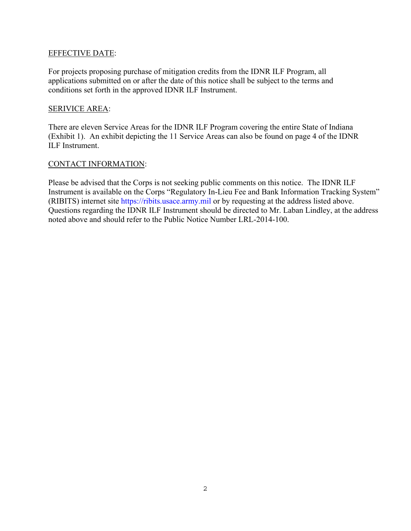#### EFFECTIVE DATE:

For projects proposing purchase of mitigation credits from the IDNR ILF Program, all applications submitted on or after the date of this notice shall be subject to the terms and conditions set forth in the approved IDNR ILF Instrument.

#### SERIVICE AREA:

There are eleven Service Areas for the IDNR ILF Program covering the entire State of Indiana (Exhibit 1). An exhibit depicting the 11 Service Areas can also be found on page 4 of the IDNR ILF Instrument.

#### CONTACT INFORMATION:

Please be advised that the Corps is not seeking public comments on this notice. The IDNR ILF Instrument is available on the Corps "Regulatory In-Lieu Fee and Bank Information Tracking System" (RIBITS) internet site https://ribits.usace.army.mil or by requesting at the address listed above. Questions regarding the IDNR ILF Instrument should be directed to Mr. Laban Lindley, at the address noted above and should refer to the Public Notice Number LRL-2014-100.